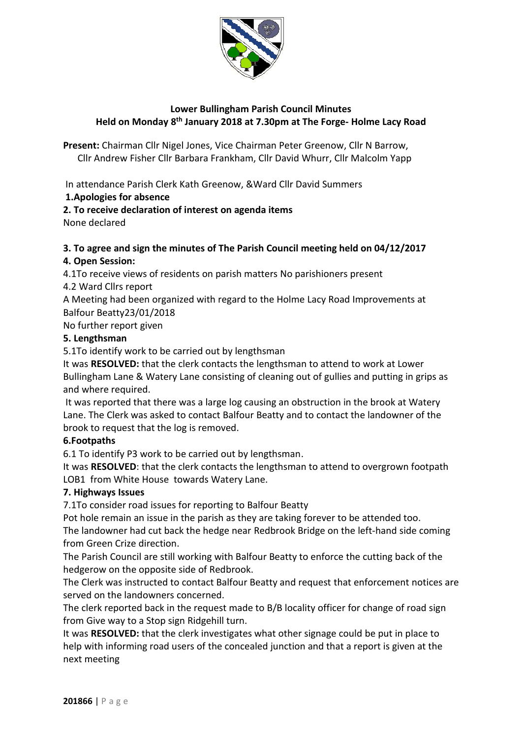

## **Lower Bullingham Parish Council Minutes Held on Monday 8 th January 2018 at 7.30pm at The Forge- Holme Lacy Road**

**Present:** Chairman Cllr Nigel Jones, Vice Chairman Peter Greenow, Cllr N Barrow, Cllr Andrew Fisher Cllr Barbara Frankham, Cllr David Whurr, Cllr Malcolm Yapp

In attendance Parish Clerk Kath Greenow, &Ward Cllr David Summers

### **1.Apologies for absence**

## **2. To receive declaration of interest on agenda items**

None declared

## **3. To agree and sign the minutes of The Parish Council meeting held on 04/12/2017**

## **4. Open Session:**

4.1To receive views of residents on parish matters No parishioners present

4.2 Ward Cllrs report

A Meeting had been organized with regard to the Holme Lacy Road Improvements at Balfour Beatty23/01/2018

No further report given

## **5. Lengthsman**

5.1To identify work to be carried out by lengthsman

It was **RESOLVED:** that the clerk contacts the lengthsman to attend to work at Lower Bullingham Lane & Watery Lane consisting of cleaning out of gullies and putting in grips as and where required.

It was reported that there was a large log causing an obstruction in the brook at Watery Lane. The Clerk was asked to contact Balfour Beatty and to contact the landowner of the brook to request that the log is removed.

### **6.Footpaths**

6.1 To identify P3 work to be carried out by lengthsman.

It was **RESOLVED**: that the clerk contacts the lengthsman to attend to overgrown footpath LOB1 from White House towards Watery Lane.

### **7. Highways Issues**

7.1To consider road issues for reporting to Balfour Beatty

Pot hole remain an issue in the parish as they are taking forever to be attended too.

The landowner had cut back the hedge near Redbrook Bridge on the left-hand side coming from Green Crize direction.

The Parish Council are still working with Balfour Beatty to enforce the cutting back of the hedgerow on the opposite side of Redbrook.

The Clerk was instructed to contact Balfour Beatty and request that enforcement notices are served on the landowners concerned.

The clerk reported back in the request made to B/B locality officer for change of road sign from Give way to a Stop sign Ridgehill turn.

It was **RESOLVED:** that the clerk investigates what other signage could be put in place to help with informing road users of the concealed junction and that a report is given at the next meeting